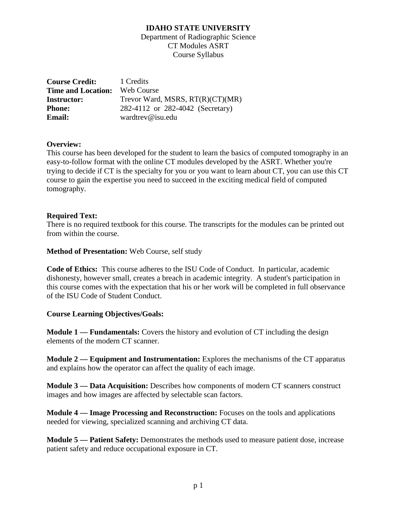Department of Radiographic Science CT Modules ASRT Course Syllabus

**Course Credit:** 1 Credits **Time and Location:** Web Course **Instructor:** Trevor Ward, MSRS, RT(R)(CT)(MR) **Phone: Email:** 282-4112 or 282-4042 (Secretary) wardtrev@isu.edu

## **Overview:**

This course has been developed for the student to learn the basics of computed tomography in an easy-to-follow format with the online CT modules developed by the ASRT. Whether you're trying to decide if CT is the specialty for you or you want to learn about CT, you can use this CT course to gain the expertise you need to succeed in the exciting medical field of computed tomography.

#### **Required Text:**

There is no required textbook for this course. The transcripts for the modules can be printed out from within the course.

## **Method of Presentation:** Web Course, self study

**Code of Ethics:** This course adheres to the ISU Code of Conduct. In particular, academic dishonesty, however small, creates a breach in academic integrity. A student's participation in this course comes with the expectation that his or her work will be completed in full observance of the ISU Code of Student Conduct.

#### **Course Learning Objectives/Goals:**

**Module 1 — [Fundamentals:](http://apps.asrt.org/store.redirect?ProductID=105640)** Covers the history and evolution of CT including the design elements of the modern CT scanner.

**Module 2 — [Equipment and Instrumentation:](http://apps.asrt.org/store.redirect?ProductID=105641)** Explores the mechanisms of the CT apparatus and explains how the operator can affect the quality of each image.

**[Module 3 —](http://apps.asrt.org/store.redirect?ProductID=105642) Data Acquisition:** Describes how components of modern CT scanners construct images and how images are affected by selectable scan factors.

**[Module 4 —](http://apps.asrt.org/store.redirect?ProductID=105643) Image Processing and Reconstruction:** Focuses on the tools and applications needed for viewing, specialized scanning and archiving CT data.

**[Module 5 —](http://apps.asrt.org/store.redirect?ProductID=105644) Patient Safety:** Demonstrates the methods used to measure patient dose, increase patient safety and reduce occupational exposure in CT.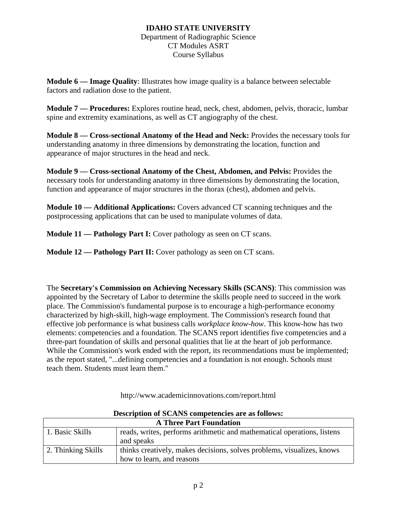## **IDAHO STATE UNIVERSITY** Department of Radiographic Science CT Modules ASRT Course Syllabus

**[Module 6 —](http://apps.asrt.org/store.redirect?ProductID=105645) Image Quality**: Illustrates how image quality is a balance between selectable factors and radiation dose to the patient.

**[Module 7 —](http://apps.asrt.org/store.redirect?ProductID=105646) Procedures:** Explores routine head, neck, chest, abdomen, pelvis, thoracic, lumbar spine and extremity examinations, as well as CT angiography of the chest.

**Module 8 — [Cross-sectional](http://apps.asrt.org/store.redirect?ProductID=105647) Anatomy of the Head and Neck:** Provides the necessary tools for understanding anatomy in three dimensions by demonstrating the location, function and appearance of major structures in the head and neck.

**Module 9 — [Cross-sectional](http://apps.asrt.org/store.redirect?ProductID=105647) Anatomy of the Chest, Abdomen, and Pelvis:** Provides the necessary tools for understanding anatomy in three dimensions by demonstrating the location, function and appearance of major structures in the thorax (chest), abdomen and pelvis.

**[Module 10 —](http://apps.asrt.org/store.redirect?ProductID=105649) Additional Applications:** Covers advanced CT scanning techniques and the postprocessing applications that can be used to manipulate volumes of data.

**[Module 11](http://apps.asrt.org/store.redirect?ProductID=105649) — Pathology Part I:** Cover pathology as seen on CT scans.

**[Module 12](http://apps.asrt.org/store.redirect?ProductID=105649) — Pathology Part II:** Cover pathology as seen on CT scans.

The **Secretary's Commission on Achieving Necessary Skills (SCANS)**: This commission was appointed by the Secretary of Labor to determine the skills people need to succeed in the work place. The Commission's fundamental purpose is to encourage a high-performance economy characterized by high-skill, high-wage employment. The Commission's research found that effective job performance is what business calls *workplace know-how*. This know-how has two elements: competencies and a foundation. The SCANS report identifies five competencies and a three-part foundation of skills and personal qualities that lie at the heart of job performance. While the Commission's work ended with the report, its recommendations must be implemented; as the report stated, "...defining competencies and a foundation is not enough. Schools must teach them. Students must learn them."

| Description of SCANS competencies are as follows: |                                                                                                     |  |
|---------------------------------------------------|-----------------------------------------------------------------------------------------------------|--|
| <b>A Three Part Foundation</b>                    |                                                                                                     |  |
| 1. Basic Skills                                   | reads, writes, performs arithmetic and mathematical operations, listens<br>and speaks               |  |
| 2. Thinking Skills                                | thinks creatively, makes decisions, solves problems, visualizes, knows<br>how to learn, and reasons |  |

http://www.academicinnovations.com/report.html

# **Description of SCANS competencies are as follows:**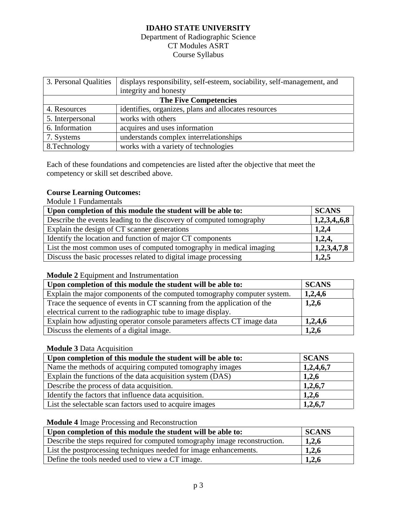## Department of Radiographic Science CT Modules ASRT Course Syllabus

| 3. Personal Qualities        | displays responsibility, self-esteem, sociability, self-management, and |  |
|------------------------------|-------------------------------------------------------------------------|--|
|                              | integrity and honesty                                                   |  |
| <b>The Five Competencies</b> |                                                                         |  |
| 4. Resources                 | identifies, organizes, plans and allocates resources                    |  |
| 5. Interpersonal             | works with others                                                       |  |
| 6. Information               | acquires and uses information                                           |  |
| 7. Systems                   | understands complex interrelationships                                  |  |
| 8. Technology                | works with a variety of technologies                                    |  |

Each of these foundations and competencies are listed after the objective that meet the competency or skill set described above.

## **Course Learning Outcomes:**

Module 1 Fundamentals

| Upon completion of this module the student will be able to:         | <b>SCANS</b> |
|---------------------------------------------------------------------|--------------|
| Describe the events leading to the discovery of computed tomography | 1,2,3,4,6,8  |
| Explain the design of CT scanner generations                        | 1,2,4        |
| Identify the location and function of major CT components           | 1,2,4,       |
| List the most common uses of computed tomography in medical imaging | 1,2,3,4,7,8  |
| Discuss the basic processes related to digital image processing     | 1,2,5        |

## **Module 2** Equipment and Instrumentation

| Upon completion of this module the student will be able to:              | <b>SCANS</b> |
|--------------------------------------------------------------------------|--------------|
| Explain the major components of the computed tomography computer system. | 1,2,4,6      |
| Trace the sequence of events in CT scanning from the application of the  | 1,2,6        |
| electrical current to the radiographic tube to image display.            |              |
| Explain how adjusting operator console parameters affects CT image data  | 1,2,4,6      |
| Discuss the elements of a digital image.                                 | 1,2,6        |

## **Module 3** Data Acquisition

| Upon completion of this module the student will be able to: | <b>SCANS</b> |
|-------------------------------------------------------------|--------------|
| Name the methods of acquiring computed tomography images    | 1,2,4,6,7    |
| Explain the functions of the data acquisition system (DAS)  | 1,2,6        |
| Describe the process of data acquisition.                   | 1,2,6,7      |
| Identify the factors that influence data acquisition.       | 1,2,6        |
| List the selectable scan factors used to acquire images     | 1,2,6,7      |

## **Module 4** Image Processing and Reconstruction

| Upon completion of this module the student will be able to:               | <b>SCANS</b> |
|---------------------------------------------------------------------------|--------------|
| Describe the steps required for computed tomography image reconstruction. | 1,2,6        |
| List the postprocessing techniques needed for image enhancements.         | 1,2,6        |
| Define the tools needed used to view a CT image.                          | 1,2,6        |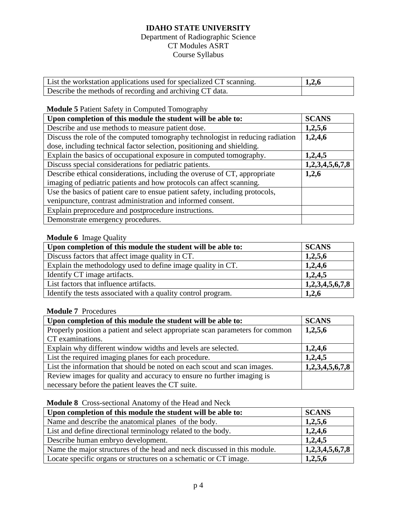## Department of Radiographic Science CT Modules ASRT Course Syllabus

| List the workstation applications used for specialized CT scanning. | 1,2,6 |
|---------------------------------------------------------------------|-------|
| Describe the methods of recording and archiving CT data.            |       |

## **Module 5** Patient Safety in Computed Tomography

| Upon completion of this module the student will be able to:                    | <b>SCANS</b>    |
|--------------------------------------------------------------------------------|-----------------|
| Describe and use methods to measure patient dose.                              | 1,2,5,6         |
| Discuss the role of the computed tomography technologist in reducing radiation | 1,2,4,6         |
| dose, including technical factor selection, positioning and shielding.         |                 |
| Explain the basics of occupational exposure in computed tomography.            | 1,2,4,5         |
| Discuss special considerations for pediatric patients.                         | 1,2,3,4,5,6,7,8 |
| Describe ethical considerations, including the overuse of CT, appropriate      | 1,2,6           |
| imaging of pediatric patients and how protocols can affect scanning.           |                 |
| Use the basics of patient care to ensue patient safety, including protocols,   |                 |
| venipuncture, contrast administration and informed consent.                    |                 |
| Explain preprocedure and postprocedure instructions.                           |                 |
| Demonstrate emergency procedures.                                              |                 |

## **Module 6** Image Quality

| Upon completion of this module the student will be able to:   | <b>SCANS</b>    |
|---------------------------------------------------------------|-----------------|
| Discuss factors that affect image quality in CT.              | 1,2,5,6         |
| Explain the methodology used to define image quality in CT.   | 1,2,4,6         |
| Identify CT image artifacts.                                  | 1,2,4,5         |
| List factors that influence artifacts.                        | 1,2,3,4,5,6,7,8 |
| Identify the tests associated with a quality control program. | 1,2,6           |

## **Module 7** Procedures

| Upon completion of this module the student will be able to:                   | <b>SCANS</b>    |
|-------------------------------------------------------------------------------|-----------------|
| Properly position a patient and select appropriate scan parameters for common | 1,2,5,6         |
| CT examinations.                                                              |                 |
| Explain why different window widths and levels are selected.                  | 1,2,4,6         |
| List the required imaging planes for each procedure.                          | 1,2,4,5         |
| List the information that should be noted on each scout and scan images.      | 1,2,3,4,5,6,7,8 |
| Review images for quality and accuracy to ensure no further imaging is        |                 |
| necessary before the patient leaves the CT suite.                             |                 |

## **Module 8** Cross-sectional Anatomy of the Head and Neck

| Upon completion of this module the student will be able to:              | <b>SCANS</b>    |
|--------------------------------------------------------------------------|-----------------|
| Name and describe the anatomical planes of the body.                     | 1,2,5,6         |
| List and define directional terminology related to the body.             | 1,2,4,6         |
| Describe human embryo development.                                       | 1,2,4,5         |
| Name the major structures of the head and neck discussed in this module. | 1,2,3,4,5,6,7,8 |
| Locate specific organs or structures on a schematic or CT image.         | 1,2,5,6         |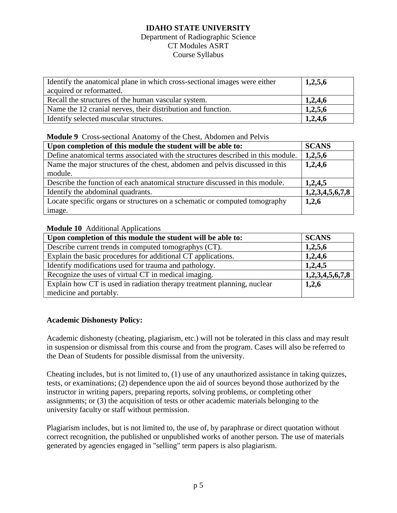#### Department of Radiographic Science CT Modules ASRT Course Syllabus

| Identify the anatomical plane in which cross-sectional images were either | 1,2,5,6 |
|---------------------------------------------------------------------------|---------|
| acquired or reformatted.                                                  |         |
| Recall the structures of the human vascular system.                       | 1,2,4,6 |
| Name the 12 cranial nerves, their distribution and function.              | 1,2,5,6 |
| I Identify selected muscular structures.                                  | 1,2,4,6 |

#### **Module 9** Cross-sectional Anatomy of the Chest, Abdomen and Pelvis

| Upon completion of this module the student will be able to:                      | <b>SCANS</b>    |
|----------------------------------------------------------------------------------|-----------------|
| Define anatomical terms associated with the structures described in this module. | 1,2,5,6         |
| Name the major structures of the chest, abdomen and pelvis discussed in this     | 1,2,4,6         |
| module.                                                                          |                 |
| Describe the function of each anatomical structure discussed in this module.     | 1,2,4,5         |
| Identify the abdominal quadrants.                                                | 1,2,3,4,5,6,7,8 |
| Locate specific organs or structures on a schematic or computed tomography       | 1,2,6           |
| image.                                                                           |                 |

## **Module 10** Additional Applications

| Upon completion of this module the student will be able to:             | <b>SCANS</b>    |
|-------------------------------------------------------------------------|-----------------|
| Describe current trends in computed tomographys (CT).                   | 1,2,5,6         |
| Explain the basic procedures for additional CT applications.            | 1,2,4,6         |
| Identify modifications used for trauma and pathology.                   | 1,2,4,5         |
| Recognize the uses of virtual CT in medical imaging.                    | 1,2,3,4,5,6,7,8 |
| Explain how CT is used in radiation therapy treatment planning, nuclear | 1,2,6           |
| medicine and portably.                                                  |                 |

## **Academic Dishonesty Policy:**

Academic dishonesty (cheating, plagiarism, etc.) will not be tolerated in this class and may result in suspension or dismissal from this course and from the program. Cases will also be referred to the Dean of Students for possible dismissal from the university.

Cheating includes, but is not limited to, (1) use of any unauthorized assistance in taking quizzes, tests, or examinations; (2) dependence upon the aid of sources beyond those authorized by the instructor in writing papers, preparing reports, solving problems, or completing other assignments; or (3) the acquisition of tests or other academic materials belonging to the university faculty or staff without permission.

Plagiarism includes, but is not limited to, the use of, by paraphrase or direct quotation without correct recognition, the published or unpublished works of another person. The use of materials generated by agencies engaged in "selling" term papers is also plagiarism.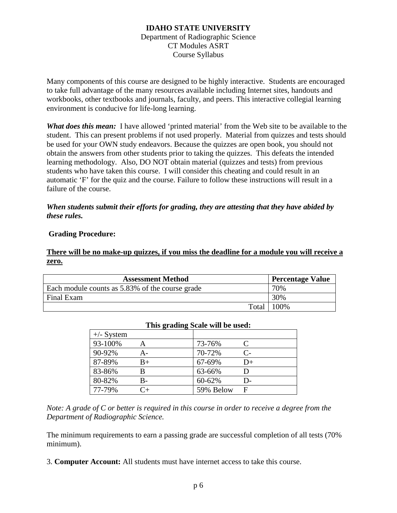## **IDAHO STATE UNIVERSITY** Department of Radiographic Science CT Modules ASRT Course Syllabus

Many components of this course are designed to be highly interactive. Students are encouraged to take full advantage of the many resources available including Internet sites, handouts and workbooks, other textbooks and journals, faculty, and peers. This interactive collegial learning environment is conducive for life-long learning.

*What does this mean:* I have allowed 'printed material' from the Web site to be available to the student. This can present problems if not used properly. Material from quizzes and tests should be used for your OWN study endeavors. Because the quizzes are open book, you should not obtain the answers from other students prior to taking the quizzes. This defeats the intended learning methodology. Also, DO NOT obtain material (quizzes and tests) from previous students who have taken this course. I will consider this cheating and could result in an automatic 'F' for the quiz and the course. Failure to follow these instructions will result in a failure of the course.

## *When students submit their efforts for grading, they are attesting that they have abided by these rules.*

## **Grading Procedure:**

## **There will be no make-up quizzes, if you miss the deadline for a module you will receive a zero.**

| <b>Assessment Method</b>                        | <b>Percentage Value</b> |
|-------------------------------------------------|-------------------------|
| Each module counts as 5.83% of the course grade | 70%                     |
| Final Exam                                      | 30%                     |
| Total                                           | 100%                    |

| $+\prime$ - System |         |           |                      |
|--------------------|---------|-----------|----------------------|
| 93-100%            |         | 73-76%    |                      |
| 90-92%             | А-      | 70-72%    | $\mathsf{C}\text{-}$ |
| 87-89%             | $B+$    | 67-69%    | $D+$                 |
| 83-86%             |         | 63-66%    |                      |
| 80-82%             | B-      | 60-62%    | D-                   |
| 77-79%             | $C_{+}$ | 59% Below | F                    |

#### **This grading Scale will be used:**

*Note: A grade of C or better is required in this course in order to receive a degree from the Department of Radiographic Science.*

The minimum requirements to earn a passing grade are successful completion of all tests (70% minimum).

3. **Computer Account:** All students must have internet access to take this course.